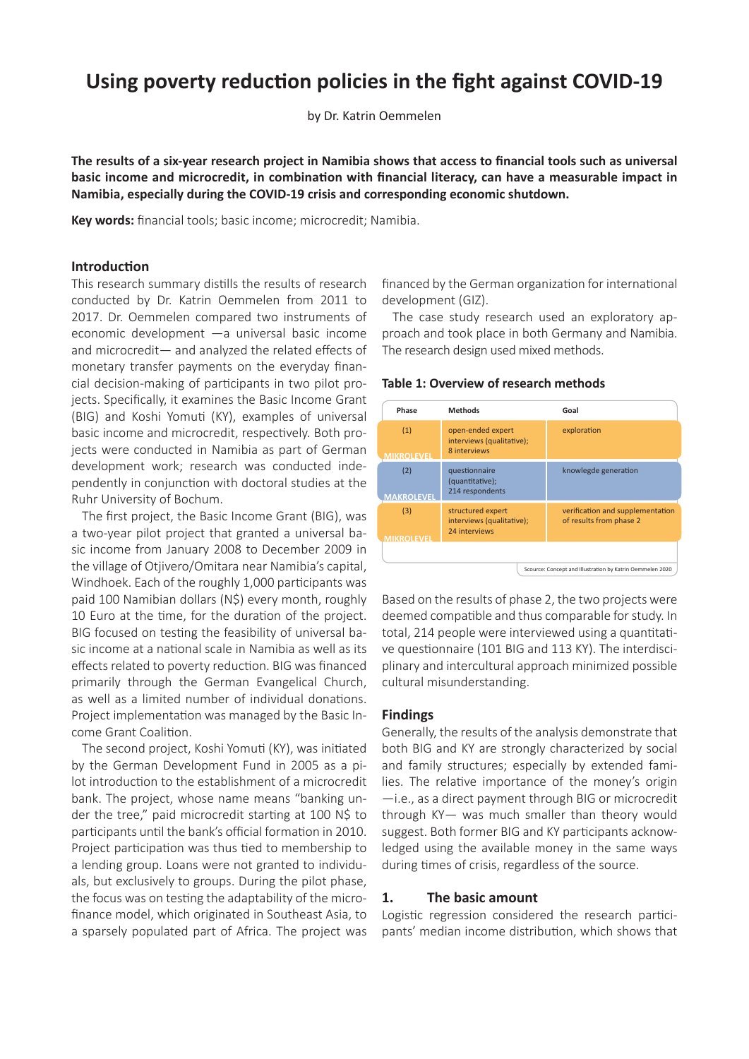# **Using poverty reduction policies in the fight against COVID-19**

by Dr. Katrin Oemmelen

**The results of a six-year research project in Namibia shows that access to financial tools such as universal basic income and microcredit, in combination with financial literacy, can have a measurable impact in Namibia, especially during the COVID-19 crisis and corresponding economic shutdown.**

**Key words:** financial tools; basic income; microcredit; Namibia.

#### **Introduction**

This research summary distills the results of research conducted by Dr. Katrin Oemmelen from 2011 to 2017. Dr. Oemmelen compared two instruments of economic development —a universal basic income and microcredit— and analyzed the related effects of monetary transfer payments on the everyday financial decision-making of participants in two pilot projects. Specifically, it examines the Basic Income Grant (BIG) and Koshi Yomuti (KY), examples of universal basic income and microcredit, respectively. Both projects were conducted in Namibia as part of German development work; research was conducted independently in conjunction with doctoral studies at the Ruhr University of Bochum.

The first project, the Basic Income Grant (BIG), was a two-year pilot project that granted a universal basic income from January 2008 to December 2009 in the village of Otjivero/Omitara near Namibia's capital, Windhoek. Each of the roughly 1,000 participants was paid 100 Namibian dollars (N\$) every month, roughly 10 Euro at the time, for the duration of the project. BIG focused on testing the feasibility of universal basic income at a national scale in Namibia as well as its effects related to poverty reduction. BIG was financed primarily through the German Evangelical Church, as well as a limited number of individual donations. Project implementation was managed by the Basic Income Grant Coalition.

The second project, Koshi Yomuti (KY), was initiated by the German Development Fund in 2005 as a pilot introduction to the establishment of a microcredit bank. The project, whose name means "banking under the tree," paid microcredit starting at 100 N\$ to participants until the bank's official formation in 2010. Project participation was thus tied to membership to a lending group. Loans were not granted to individuals, but exclusively to groups. During the pilot phase, the focus was on testing the adaptability of the microfinance model, which originated in Southeast Asia, to a sparsely populated part of Africa. The project was

financed by the German organization for international development (GIZ).

The case study research used an exploratory approach and took place in both Germany and Namibia. The research design used mixed methods.

**Table 1: Overview of research methods**



Based on the results of phase 2, the two projects were deemed compatible and thus comparable for study. In total, 214 people were interviewed using a quantitative questionnaire (101 BIG and 113 KY). The interdisciplinary and intercultural approach minimized possible cultural misunderstanding.

#### **Findings**

Generally, the results of the analysis demonstrate that both BIG and KY are strongly characterized by social and family structures; especially by extended families. The relative importance of the money's origin —i.e., as a direct payment through BIG or microcredit through KY— was much smaller than theory would suggest. Both former BIG and KY participants acknowledged using the available money in the same ways during times of crisis, regardless of the source.

#### **1. The basic amount**

Logistic regression considered the research participants' median income distribution, which shows that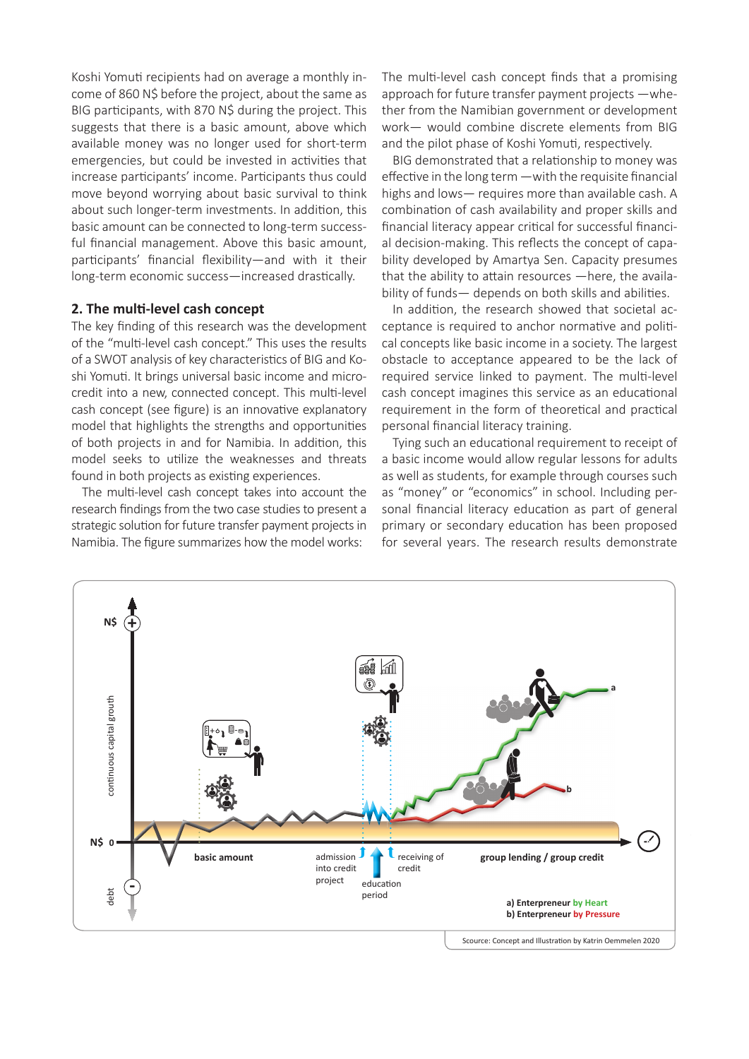Koshi Yomuti recipients had on average a monthly income of 860 N\$ before the project, about the same as BIG participants, with 870 N\$ during the project. This suggests that there is a basic amount, above which available money was no longer used for short-term emergencies, but could be invested in activities that increase participants' income. Participants thus could move beyond worrying about basic survival to think about such longer-term investments. In addition, this basic amount can be connected to long-term successful financial management. Above this basic amount, participants' financial flexibility—and with it their long-term economic success—increased drastically.

## **2. The multi-level cash concept**

The key finding of this research was the development of the "multi-level cash concept." This uses the results of a SWOT analysis of key characteristics of BIG and Koshi Yomuti. It brings universal basic income and microcredit into a new, connected concept. This multi-level cash concept (see figure) is an innovative explanatory model that highlights the strengths and opportunities of both projects in and for Namibia. In addition, this model seeks to utilize the weaknesses and threats found in both projects as existing experiences.

The multi-level cash concept takes into account the research findings from the two case studies to present a strategic solution for future transfer payment projects in Namibia. The figure summarizes how the model works:

The multi-level cash concept finds that a promising approach for future transfer payment projects —whether from the Namibian government or development work— would combine discrete elements from BIG and the pilot phase of Koshi Yomuti, respectively.

BIG demonstrated that a relationship to money was effective in the long term —with the requisite financial highs and lows— requires more than available cash. A combination of cash availability and proper skills and financial literacy appear critical for successful financial decision-making. This reflects the concept of capability developed by Amartya Sen. Capacity presumes that the ability to attain resources —here, the availability of funds— depends on both skills and abilities.

In addition, the research showed that societal acceptance is required to anchor normative and political concepts like basic income in a society. The largest obstacle to acceptance appeared to be the lack of required service linked to payment. The multi-level cash concept imagines this service as an educational requirement in the form of theoretical and practical personal financial literacy training.

Tying such an educational requirement to receipt of a basic income would allow regular lessons for adults as well as students, for example through courses such as "money" or "economics" in school. Including personal financial literacy education as part of general primary or secondary education has been proposed for several years. The research results demonstrate

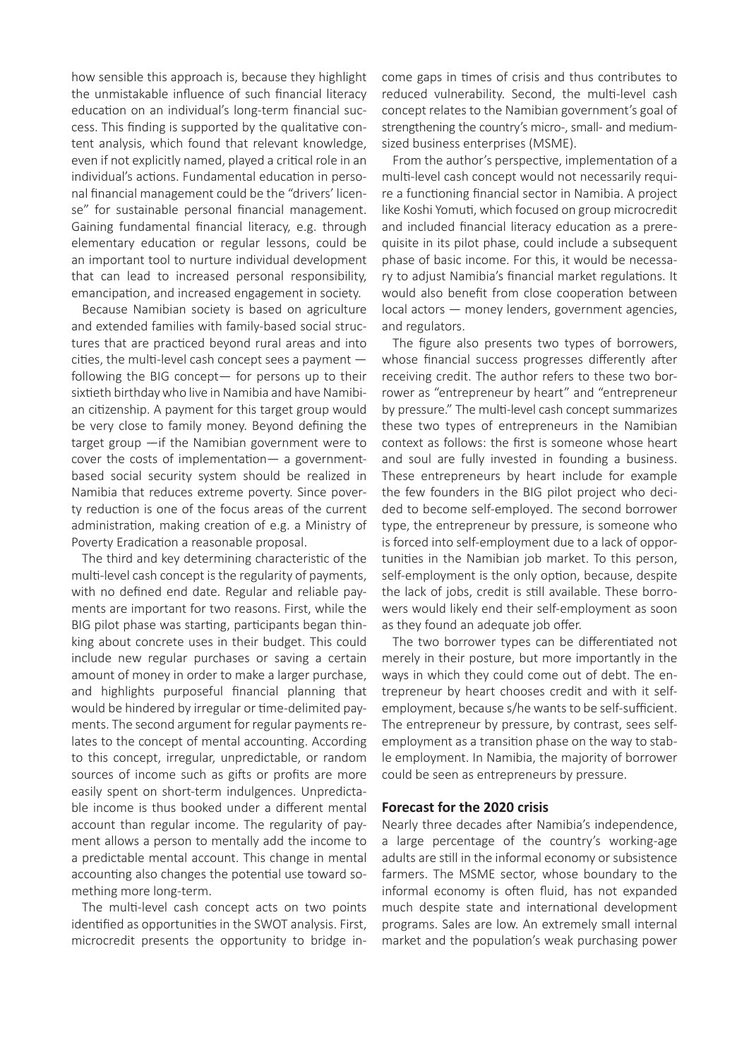how sensible this approach is, because they highlight the unmistakable influence of such financial literacy education on an individual's long-term financial success. This finding is supported by the qualitative content analysis, which found that relevant knowledge, even if not explicitly named, played a critical role in an individual's actions. Fundamental education in personal financial management could be the "drivers' license" for sustainable personal financial management. Gaining fundamental financial literacy, e.g. through elementary education or regular lessons, could be an important tool to nurture individual development that can lead to increased personal responsibility, emancipation, and increased engagement in society.

Because Namibian society is based on agriculture and extended families with family-based social structures that are practiced beyond rural areas and into cities, the multi-level cash concept sees a payment following the BIG concept— for persons up to their sixtieth birthday who live in Namibia and have Namibian citizenship. A payment for this target group would be very close to family money. Beyond defining the target group —if the Namibian government were to cover the costs of implementation— a governmentbased social security system should be realized in Namibia that reduces extreme poverty. Since poverty reduction is one of the focus areas of the current administration, making creation of e.g. a Ministry of Poverty Eradication a reasonable proposal.

The third and key determining characteristic of the multi-level cash concept is the regularity of payments, with no defined end date. Regular and reliable payments are important for two reasons. First, while the BIG pilot phase was starting, participants began thinking about concrete uses in their budget. This could include new regular purchases or saving a certain amount of money in order to make a larger purchase, and highlights purposeful financial planning that would be hindered by irregular or time-delimited payments. The second argument for regular payments relates to the concept of mental accounting. According to this concept, irregular, unpredictable, or random sources of income such as gifts or profits are more easily spent on short-term indulgences. Unpredictable income is thus booked under a different mental account than regular income. The regularity of payment allows a person to mentally add the income to a predictable mental account. This change in mental accounting also changes the potential use toward something more long-term.

The multi-level cash concept acts on two points identified as opportunities in the SWOT analysis. First, microcredit presents the opportunity to bridge income gaps in times of crisis and thus contributes to reduced vulnerability. Second, the multi-level cash concept relates to the Namibian government's goal of strengthening the country's micro-, small- and mediumsized business enterprises (MSME).

From the author's perspective, implementation of a multi-level cash concept would not necessarily require a functioning financial sector in Namibia. A project like Koshi Yomuti, which focused on group microcredit and included financial literacy education as a prerequisite in its pilot phase, could include a subsequent phase of basic income. For this, it would be necessary to adjust Namibia's financial market regulations. It would also benefit from close cooperation between local actors — money lenders, government agencies, and regulators.

The figure also presents two types of borrowers, whose financial success progresses differently after receiving credit. The author refers to these two borrower as "entrepreneur by heart" and "entrepreneur by pressure." The multi-level cash concept summarizes these two types of entrepreneurs in the Namibian context as follows: the first is someone whose heart and soul are fully invested in founding a business. These entrepreneurs by heart include for example the few founders in the BIG pilot project who decided to become self-employed. The second borrower type, the entrepreneur by pressure, is someone who is forced into self-employment due to a lack of opportunities in the Namibian job market. To this person, self-employment is the only option, because, despite the lack of jobs, credit is still available. These borrowers would likely end their self-employment as soon as they found an adequate job offer.

The two borrower types can be differentiated not merely in their posture, but more importantly in the ways in which they could come out of debt. The entrepreneur by heart chooses credit and with it selfemployment, because s/he wants to be self-sufficient. The entrepreneur by pressure, by contrast, sees selfemployment as a transition phase on the way to stable employment. In Namibia, the majority of borrower could be seen as entrepreneurs by pressure.

### **Forecast for the 2020 crisis**

Nearly three decades after Namibia's independence, a large percentage of the country's working-age adults are still in the informal economy or subsistence farmers. The MSME sector, whose boundary to the informal economy is often fluid, has not expanded much despite state and international development programs. Sales are low. An extremely small internal market and the population's weak purchasing power